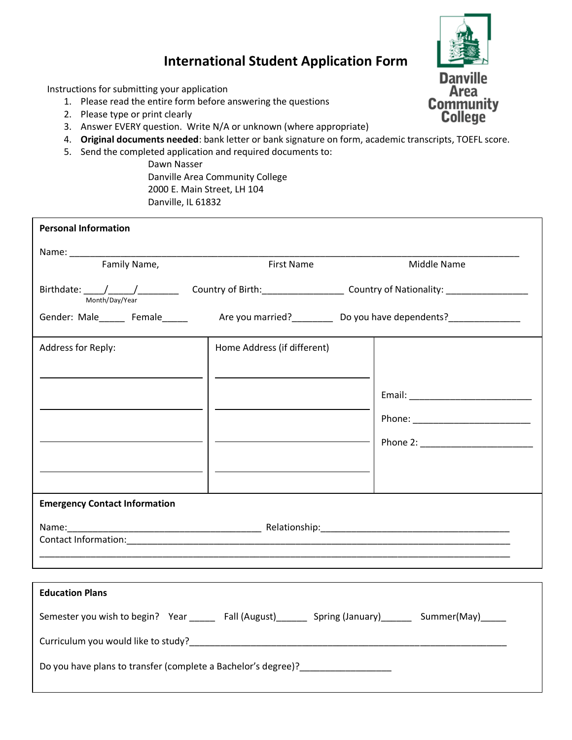

## **International Student Application Form**

Instructions for submitting your application

- 1. Please read the entire form before answering the questions
- 2. Please type or print clearly
- 3. Answer EVERY question. Write N/A or unknown (where appropriate)
- 4. **Original documents needed**: bank letter or bank signature on form, academic transcripts, TOEFL score.
- 5. Send the completed application and required documents to:

Dawn Nasser Danville Area Community College 2000 E. Main Street, LH 104 Danville, IL 61832

| <b>Personal Information</b>                                                                          |                             |             |  |
|------------------------------------------------------------------------------------------------------|-----------------------------|-------------|--|
|                                                                                                      |                             |             |  |
| Family Name,                                                                                         | <b>First Name</b>           | Middle Name |  |
| Month/Day/Year                                                                                       |                             |             |  |
| Gender: Male______ Female______ Are you married?________ Do you have dependents?______________       |                             |             |  |
| Address for Reply:                                                                                   | Home Address (if different) |             |  |
|                                                                                                      |                             |             |  |
|                                                                                                      |                             |             |  |
|                                                                                                      |                             |             |  |
|                                                                                                      |                             |             |  |
|                                                                                                      |                             |             |  |
|                                                                                                      |                             |             |  |
|                                                                                                      |                             |             |  |
| <b>Emergency Contact Information</b>                                                                 |                             |             |  |
|                                                                                                      |                             |             |  |
|                                                                                                      |                             |             |  |
|                                                                                                      |                             |             |  |
| <b>Education Plans</b>                                                                               |                             |             |  |
|                                                                                                      |                             |             |  |
| Semester you wish to begin? Year ______ Fall (August)_______ Spring (January)______ Summer(May)_____ |                             |             |  |
|                                                                                                      |                             |             |  |

Do you have plans to transfer (complete a Bachelor's degree)?\_\_\_\_\_\_\_\_\_\_\_\_\_\_\_\_\_\_\_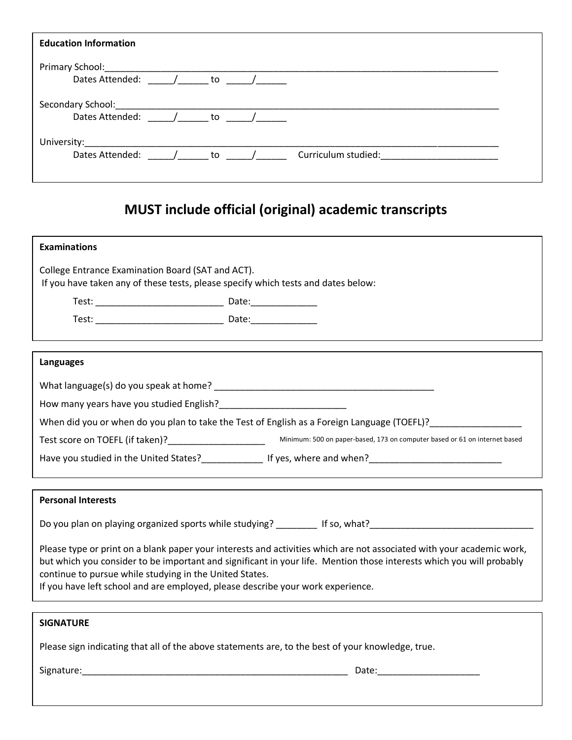| <b>Education Information</b>                         |  |                                                                              |                                                  |  |
|------------------------------------------------------|--|------------------------------------------------------------------------------|--------------------------------------------------|--|
| Primary School: National Primary School:             |  |                                                                              |                                                  |  |
| Dates Attended:                                      |  | $\frac{1}{\sqrt{1-\frac{1}{2}}}\left( \frac{1}{\sqrt{1-\frac{1}{2}}}\right)$ |                                                  |  |
| Secondary School: Secondary School:                  |  |                                                                              |                                                  |  |
| Dates Attended: $\left/ \right.$ to $\left/ \right.$ |  |                                                                              |                                                  |  |
|                                                      |  |                                                                              |                                                  |  |
| Dates Attended:                                      |  | $\frac{1}{\sqrt{2}}$ to $\frac{1}{\sqrt{2}}$                                 | Curriculum studied: National Curriculum Studied: |  |
|                                                      |  |                                                                              |                                                  |  |

# **MUST include official (original) academic transcripts**

| <b>Examinations</b>                                                                                                                        |                                                                                                                                                                                                                                               |
|--------------------------------------------------------------------------------------------------------------------------------------------|-----------------------------------------------------------------------------------------------------------------------------------------------------------------------------------------------------------------------------------------------|
| College Entrance Examination Board (SAT and ACT).<br>If you have taken any of these tests, please specify which tests and dates below:     |                                                                                                                                                                                                                                               |
|                                                                                                                                            |                                                                                                                                                                                                                                               |
|                                                                                                                                            |                                                                                                                                                                                                                                               |
|                                                                                                                                            |                                                                                                                                                                                                                                               |
| Languages                                                                                                                                  |                                                                                                                                                                                                                                               |
|                                                                                                                                            |                                                                                                                                                                                                                                               |
|                                                                                                                                            |                                                                                                                                                                                                                                               |
|                                                                                                                                            | When did you or when do you plan to take the Test of English as a Foreign Language (TOEFL)?                                                                                                                                                   |
|                                                                                                                                            |                                                                                                                                                                                                                                               |
|                                                                                                                                            | Have you studied in the United States?__________________ If yes, where and when?______________________________                                                                                                                                |
|                                                                                                                                            |                                                                                                                                                                                                                                               |
| <b>Personal Interests</b>                                                                                                                  |                                                                                                                                                                                                                                               |
|                                                                                                                                            | Do you plan on playing organized sports while studying? _________ If so, what? _______________________________                                                                                                                                |
| continue to pursue while studying in the United States.<br>If you have left school and are employed, please describe your work experience. | Please type or print on a blank paper your interests and activities which are not associated with your academic work,<br>but which you consider to be important and significant in your life. Mention those interests which you will probably |
| <b>SIGNATURE</b>                                                                                                                           |                                                                                                                                                                                                                                               |
| Please sign indicating that all of the above statements are, to the best of your knowledge, true.                                          |                                                                                                                                                                                                                                               |
|                                                                                                                                            |                                                                                                                                                                                                                                               |
|                                                                                                                                            |                                                                                                                                                                                                                                               |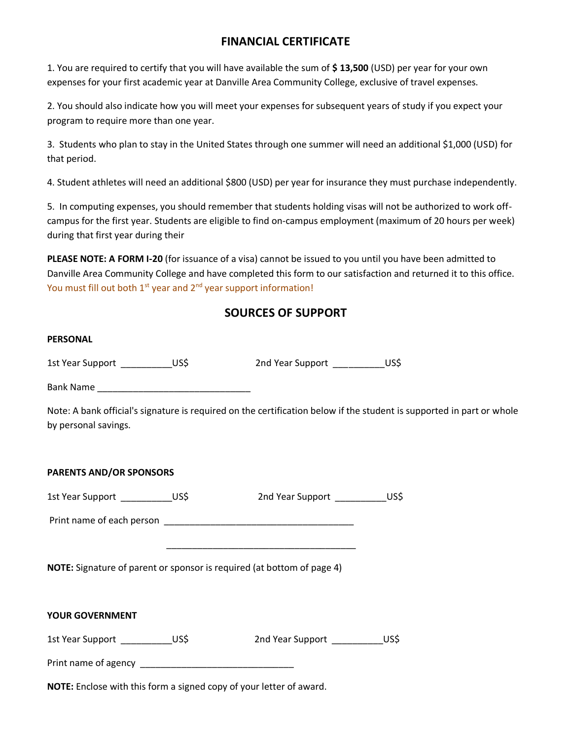### **FINANCIAL CERTIFICATE**

1. You are required to certify that you will have available the sum of **\$ 13,500** (USD) per year for your own expenses for your first academic year at Danville Area Community College, exclusive of travel expenses.

2. You should also indicate how you will meet your expenses for subsequent years of study if you expect your program to require more than one year.

3. Students who plan to stay in the United States through one summer will need an additional \$1,000 (USD) for that period.

4. Student athletes will need an additional \$800 (USD) per year for insurance they must purchase independently.

5. In computing expenses, you should remember that students holding visas will not be authorized to work offcampus for the first year. Students are eligible to find on-campus employment (maximum of 20 hours per week) during that first year during their

**PLEASE NOTE: A FORM I-20** (for issuance of a visa) cannot be issued to you until you have been admitted to Danville Area Community College and have completed this form to our satisfaction and returned it to this office. You must fill out both  $1<sup>st</sup>$  year and  $2<sup>nd</sup>$  year support information!

## **SOURCES OF SUPPORT**

| <b>PERSONAL</b>                   |                                                                                                                                                                                                |  |
|-----------------------------------|------------------------------------------------------------------------------------------------------------------------------------------------------------------------------------------------|--|
|                                   | 1st Year Support ______________US\$ 2nd Year Support _______________US\$                                                                                                                       |  |
|                                   |                                                                                                                                                                                                |  |
| by personal savings.              | Note: A bank official's signature is required on the certification below if the student is supported in part or whole                                                                          |  |
| <b>PARENTS AND/OR SPONSORS</b>    |                                                                                                                                                                                                |  |
| 1st Year Support ____________US\$ | 2nd Year Support ______________US\$                                                                                                                                                            |  |
|                                   |                                                                                                                                                                                                |  |
|                                   | <u> 1989 - Johann John Stone, market fan it ferskearre fan it ferskearre fan it ferskearre fan it ferskearre fan</u><br>NOTE: Signature of parent or sponsor is required (at bottom of page 4) |  |
| YOUR GOVERNMENT                   |                                                                                                                                                                                                |  |
|                                   | 1st Year Support _____________US\$ 2nd Year Support ______________US\$                                                                                                                         |  |
|                                   |                                                                                                                                                                                                |  |
|                                   | NOTE: Enclose with this form a signed copy of your letter of award.                                                                                                                            |  |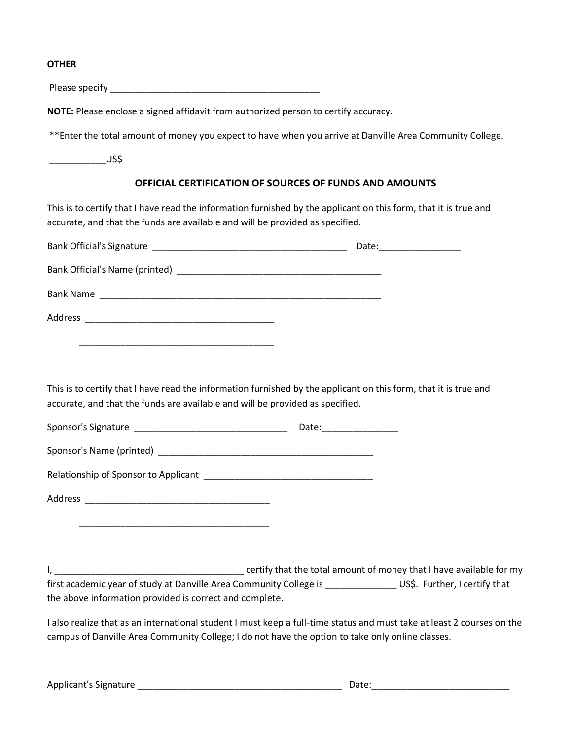#### **OTHER**

Please specify \_\_\_\_\_\_\_\_\_\_\_\_\_\_\_\_\_\_\_\_\_\_\_\_\_\_\_\_\_\_\_\_\_\_\_\_\_\_\_\_\_

**NOTE:** Please enclose a signed affidavit from authorized person to certify accuracy.

\*\*Enter the total amount of money you expect to have when you arrive at Danville Area Community College.

 $U$ S\$

#### **OFFICIAL CERTIFICATION OF SOURCES OF FUNDS AND AMOUNTS**

This is to certify that I have read the information furnished by the applicant on this form, that it is true and accurate, and that the funds are available and will be provided as specified.

|                                                                                                                                                                                                   | Date: __________________ |
|---------------------------------------------------------------------------------------------------------------------------------------------------------------------------------------------------|--------------------------|
|                                                                                                                                                                                                   |                          |
|                                                                                                                                                                                                   |                          |
|                                                                                                                                                                                                   |                          |
|                                                                                                                                                                                                   |                          |
|                                                                                                                                                                                                   |                          |
| This is to certify that I have read the information furnished by the applicant on this form, that it is true and<br>accurate, and that the funds are available and will be provided as specified. |                          |
|                                                                                                                                                                                                   | Date:__________________  |

Sponsor's Name (printed) \_\_\_\_\_\_\_\_\_\_\_\_\_\_\_\_\_\_\_\_\_\_\_\_\_\_\_\_\_\_\_\_\_\_\_\_\_\_\_\_\_\_ Relationship of Sponsor to Applicant \_\_\_\_\_\_\_\_\_\_\_\_\_\_\_\_\_\_\_\_\_\_\_\_\_\_\_\_\_\_\_\_\_

Address \_\_\_\_\_\_\_\_\_\_\_\_\_\_\_\_\_\_\_\_\_\_\_\_\_\_\_\_\_\_\_\_\_\_\_\_

\_\_\_\_\_\_\_\_\_\_\_\_\_\_\_\_\_\_\_\_\_\_\_\_\_\_\_\_\_\_\_\_\_\_\_\_\_

I, \_\_\_\_\_\_\_\_\_\_\_\_\_\_\_\_\_\_\_\_\_\_\_\_\_\_\_\_\_\_\_\_\_\_\_\_\_ certify that the total amount of money that I have available for my first academic year of study at Danville Area Community College is \_\_\_\_\_\_\_\_\_\_\_\_\_\_\_\_\_\_ US\$. Further, I certify that the above information provided is correct and complete.

I also realize that as an international student I must keep a full-time status and must take at least 2 courses on the campus of Danville Area Community College; I do not have the option to take only online classes.